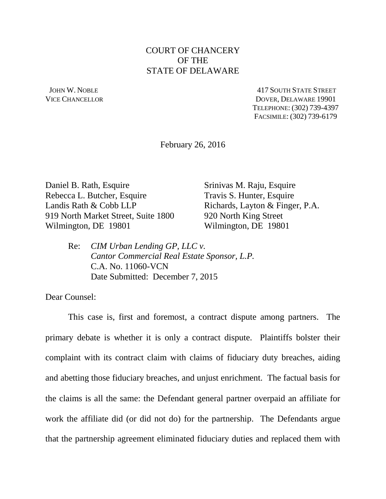## COURT OF CHANCERY OF THE STATE OF DELAWARE

 JOHN W. NOBLE 417 SOUTH STATE STREET VICE CHANCELLOR DOVER, DELAWARE 19901 TELEPHONE: (302) 739-4397 FACSIMILE: (302) 739-6179

February 26, 2016

Daniel B. Rath, Esquire Srinivas M. Raju, Esquire Rebecca L. Butcher, Esquire Travis S. Hunter, Esquire Landis Rath & Cobb LLP Richards, Layton & Finger, P.A. 919 North Market Street, Suite 1800 920 North King Street Wilmington, DE 19801 Wilmington, DE 19801

Re: *CIM Urban Lending GP, LLC v. Cantor Commercial Real Estate Sponsor, L.P.* C.A. No. 11060-VCN Date Submitted: December 7, 2015

Dear Counsel:

This case is, first and foremost, a contract dispute among partners. The primary debate is whether it is only a contract dispute. Plaintiffs bolster their complaint with its contract claim with claims of fiduciary duty breaches, aiding and abetting those fiduciary breaches, and unjust enrichment. The factual basis for the claims is all the same: the Defendant general partner overpaid an affiliate for work the affiliate did (or did not do) for the partnership. The Defendants argue that the partnership agreement eliminated fiduciary duties and replaced them with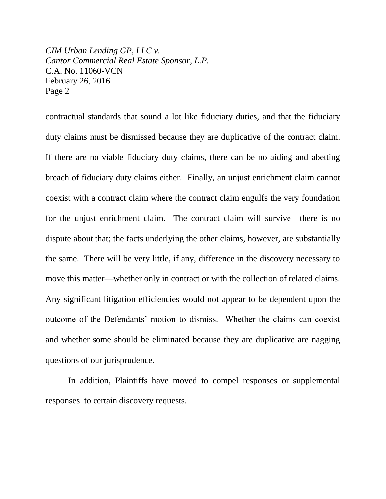contractual standards that sound a lot like fiduciary duties, and that the fiduciary duty claims must be dismissed because they are duplicative of the contract claim. If there are no viable fiduciary duty claims, there can be no aiding and abetting breach of fiduciary duty claims either. Finally, an unjust enrichment claim cannot coexist with a contract claim where the contract claim engulfs the very foundation for the unjust enrichment claim. The contract claim will survive—there is no dispute about that; the facts underlying the other claims, however, are substantially the same. There will be very little, if any, difference in the discovery necessary to move this matter—whether only in contract or with the collection of related claims. Any significant litigation efficiencies would not appear to be dependent upon the outcome of the Defendants' motion to dismiss. Whether the claims can coexist and whether some should be eliminated because they are duplicative are nagging questions of our jurisprudence.

In addition, Plaintiffs have moved to compel responses or supplemental responses to certain discovery requests.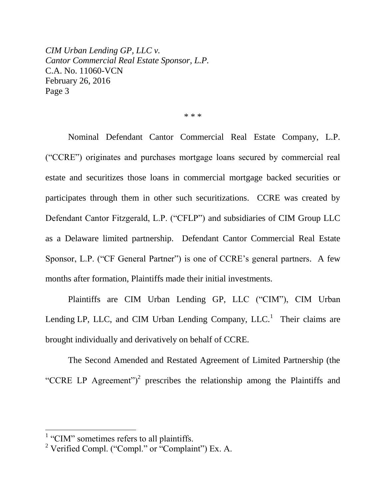\* \* \*

Nominal Defendant Cantor Commercial Real Estate Company, L.P. ("CCRE") originates and purchases mortgage loans secured by commercial real estate and securitizes those loans in commercial mortgage backed securities or participates through them in other such securitizations. CCRE was created by Defendant Cantor Fitzgerald, L.P. ("CFLP") and subsidiaries of CIM Group LLC as a Delaware limited partnership. Defendant Cantor Commercial Real Estate Sponsor, L.P. ("CF General Partner") is one of CCRE's general partners. A few months after formation, Plaintiffs made their initial investments.

Plaintiffs are CIM Urban Lending GP, LLC ("CIM"), CIM Urban Lending LP, LLC, and CIM Urban Lending Company,  $LLC<sup>1</sup>$  Their claims are brought individually and derivatively on behalf of CCRE.

The Second Amended and Restated Agreement of Limited Partnership (the "CCRE LP Agreement")<sup>2</sup> prescribes the relationship among the Plaintiffs and

<sup>&</sup>lt;sup>1</sup> "CIM" sometimes refers to all plaintiffs.

 $2$  Verified Compl. ("Compl." or "Complaint") Ex. A.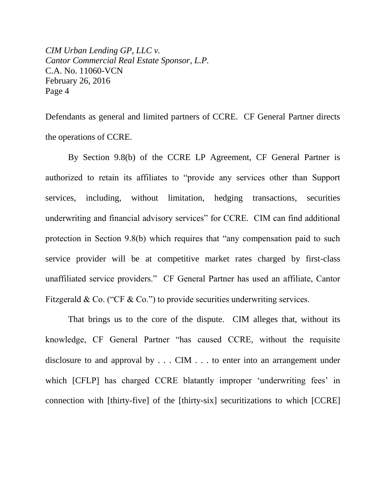Defendants as general and limited partners of CCRE. CF General Partner directs the operations of CCRE.

By Section 9.8(b) of the CCRE LP Agreement, CF General Partner is authorized to retain its affiliates to "provide any services other than Support services, including, without limitation, hedging transactions, securities underwriting and financial advisory services" for CCRE. CIM can find additional protection in Section 9.8(b) which requires that "any compensation paid to such service provider will be at competitive market rates charged by first-class unaffiliated service providers." CF General Partner has used an affiliate, Cantor Fitzgerald & Co. ("CF & Co.") to provide securities underwriting services.

That brings us to the core of the dispute. CIM alleges that, without its knowledge, CF General Partner "has caused CCRE, without the requisite disclosure to and approval by . . . CIM . . . to enter into an arrangement under which [CFLP] has charged CCRE blatantly improper 'underwriting fees' in connection with [thirty-five] of the [thirty-six] securitizations to which [CCRE]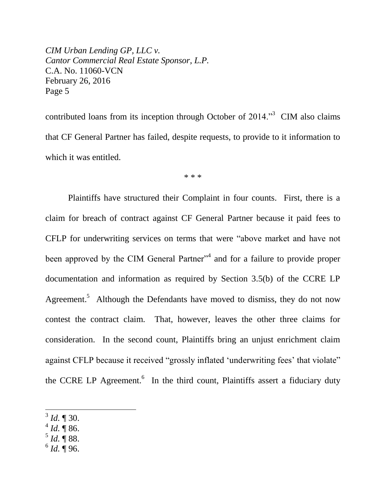contributed loans from its inception through October of  $2014$ .<sup>33</sup> CIM also claims that CF General Partner has failed, despite requests, to provide to it information to which it was entitled.

\* \* \*

Plaintiffs have structured their Complaint in four counts. First, there is a claim for breach of contract against CF General Partner because it paid fees to CFLP for underwriting services on terms that were "above market and have not been approved by the CIM General Partner<sup>34</sup> and for a failure to provide proper documentation and information as required by Section 3.5(b) of the CCRE LP Agreement.<sup>5</sup> Although the Defendants have moved to dismiss, they do not now contest the contract claim. That, however, leaves the other three claims for consideration. In the second count, Plaintiffs bring an unjust enrichment claim against CFLP because it received "grossly inflated 'underwriting fees' that violate" the CCRE LP Agreement.<sup>6</sup> In the third count, Plaintiffs assert a fiduciary duty

- $^{4}$  *Id.*  $\sqrt[4]{86}$ .
- $^5$  *Id.*  $\overline{\P}$  88.
- $^6$  *Id.*  $\overline{\P}$  96.

<sup>3</sup> *Id.* ¶ 30.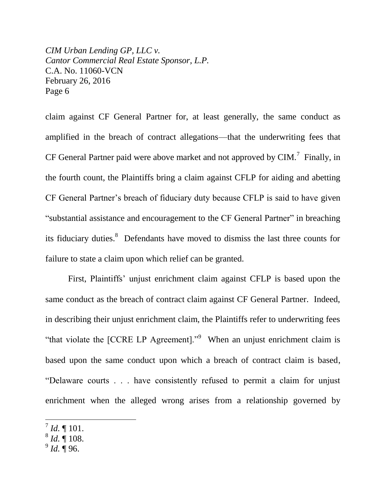claim against CF General Partner for, at least generally, the same conduct as amplified in the breach of contract allegations—that the underwriting fees that CF General Partner paid were above market and not approved by CIM.<sup>7</sup> Finally, in the fourth count, the Plaintiffs bring a claim against CFLP for aiding and abetting CF General Partner's breach of fiduciary duty because CFLP is said to have given "substantial assistance and encouragement to the CF General Partner" in breaching its fiduciary duties.<sup>8</sup> Defendants have moved to dismiss the last three counts for failure to state a claim upon which relief can be granted.

First, Plaintiffs' unjust enrichment claim against CFLP is based upon the same conduct as the breach of contract claim against CF General Partner. Indeed, in describing their unjust enrichment claim, the Plaintiffs refer to underwriting fees "that violate the  $[CCRE LP Agreement]$ ." When an unjust enrichment claim is based upon the same conduct upon which a breach of contract claim is based, "Delaware courts . . . have consistently refused to permit a claim for unjust enrichment when the alleged wrong arises from a relationship governed by

- 8 *Id.* ¶ 108.
- 9 *Id.* ¶ 96.

 $^{7}$  *Id.*  $\P$  101.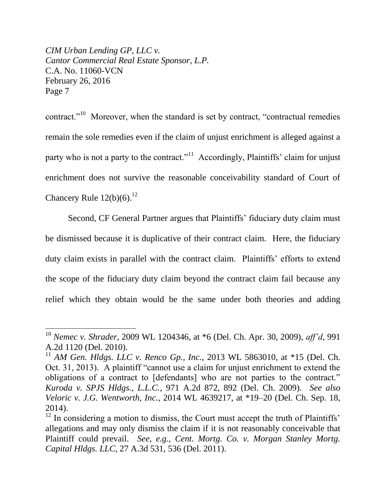$\overline{a}$ 

contract."<sup>10</sup> Moreover, when the standard is set by contract, "contractual remedies remain the sole remedies even if the claim of unjust enrichment is alleged against a party who is not a party to the contract."<sup>11</sup> Accordingly, Plaintiffs' claim for unjust enrichment does not survive the reasonable conceivability standard of Court of Chancery Rule  $12(b)(6)$ .<sup>12</sup>

Second, CF General Partner argues that Plaintiffs' fiduciary duty claim must be dismissed because it is duplicative of their contract claim. Here, the fiduciary duty claim exists in parallel with the contract claim. Plaintiffs' efforts to extend the scope of the fiduciary duty claim beyond the contract claim fail because any relief which they obtain would be the same under both theories and adding

<sup>10</sup> *Nemec v. Shrader*, 2009 WL 1204346, at \*6 (Del. Ch. Apr. 30, 2009), *aff'd*, 991 A.2d 1120 (Del. 2010).

<sup>&</sup>lt;sup>11</sup> *AM Gen. Hldgs. LLC v. Renco Gp., Inc.*, 2013 WL 5863010, at \*15 (Del. Ch. Oct. 31, 2013). A plaintiff "cannot use a claim for unjust enrichment to extend the obligations of a contract to [defendants] who are not parties to the contract." *Kuroda v. SPJS Hldgs., L.L.C.*, 971 A.2d 872, 892 (Del. Ch. 2009). *See also Veloric v. J.G. Wentworth, Inc.*, 2014 WL 4639217, at \*19–20 (Del. Ch. Sep. 18, 2014).

 $12$  In considering a motion to dismiss, the Court must accept the truth of Plaintiffs' allegations and may only dismiss the claim if it is not reasonably conceivable that Plaintiff could prevail. *See, e.g.*, *Cent. Mortg. Co. v. Morgan Stanley Mortg. Capital Hldgs. LLC*, 27 A.3d 531, 536 (Del. 2011).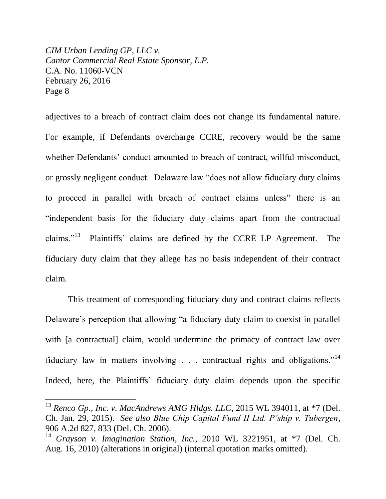$\overline{a}$ 

adjectives to a breach of contract claim does not change its fundamental nature. For example, if Defendants overcharge CCRE, recovery would be the same whether Defendants' conduct amounted to breach of contract, willful misconduct, or grossly negligent conduct. Delaware law "does not allow fiduciary duty claims to proceed in parallel with breach of contract claims unless" there is an "independent basis for the fiduciary duty claims apart from the contractual claims." $^{13}$  Plaintiffs' claims are defined by the CCRE LP Agreement. The fiduciary duty claim that they allege has no basis independent of their contract claim.

This treatment of corresponding fiduciary duty and contract claims reflects Delaware's perception that allowing "a fiduciary duty claim to coexist in parallel with [a contractual] claim, would undermine the primacy of contract law over fiduciary law in matters involving . . . contractual rights and obligations."<sup>14</sup> Indeed, here, the Plaintiffs' fiduciary duty claim depends upon the specific

<sup>&</sup>lt;sup>13</sup> *Renco Gp., Inc. v. MacAndrews AMG Hldgs. LLC*, 2015 WL 394011, at \*7 (Del. Ch. Jan. 29, 2015). *See also Blue Chip Capital Fund II Ltd. P'ship v. Tubergen*, 906 A.2d 827, 833 (Del. Ch. 2006).

<sup>14</sup> *Grayson v. Imagination Station, Inc.*, 2010 WL 3221951, at \*7 (Del. Ch. Aug. 16, 2010) (alterations in original) (internal quotation marks omitted).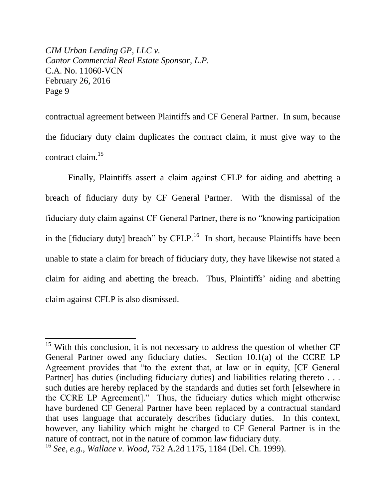$\overline{a}$ 

contractual agreement between Plaintiffs and CF General Partner. In sum, because the fiduciary duty claim duplicates the contract claim, it must give way to the contract claim. 15

Finally, Plaintiffs assert a claim against CFLP for aiding and abetting a breach of fiduciary duty by CF General Partner. With the dismissal of the fiduciary duty claim against CF General Partner, there is no "knowing participation in the [fiduciary duty] breach" by CFLP.<sup>16</sup> In short, because Plaintiffs have been unable to state a claim for breach of fiduciary duty, they have likewise not stated a claim for aiding and abetting the breach. Thus, Plaintiffs' aiding and abetting claim against CFLP is also dismissed.

<sup>&</sup>lt;sup>15</sup> With this conclusion, it is not necessary to address the question of whether CF General Partner owed any fiduciary duties. Section 10.1(a) of the CCRE LP Agreement provides that "to the extent that, at law or in equity, [CF General Partner] has duties (including fiduciary duties) and liabilities relating thereto . . . such duties are hereby replaced by the standards and duties set forth [elsewhere in the CCRE LP Agreement]." Thus, the fiduciary duties which might otherwise have burdened CF General Partner have been replaced by a contractual standard that uses language that accurately describes fiduciary duties. In this context, however, any liability which might be charged to CF General Partner is in the nature of contract, not in the nature of common law fiduciary duty.

<sup>16</sup> *See, e.g.*, *Wallace v. Wood*, 752 A.2d 1175, 1184 (Del. Ch. 1999).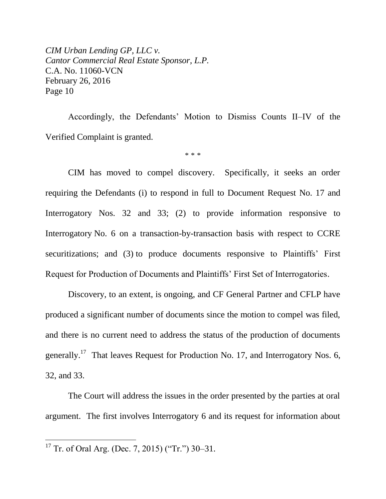Accordingly, the Defendants' Motion to Dismiss Counts II–IV of the Verified Complaint is granted.

\* \* \*

CIM has moved to compel discovery. Specifically, it seeks an order requiring the Defendants (i) to respond in full to Document Request No. 17 and Interrogatory Nos. 32 and 33; (2) to provide information responsive to Interrogatory No. 6 on a transaction-by-transaction basis with respect to CCRE securitizations; and (3) to produce documents responsive to Plaintiffs' First Request for Production of Documents and Plaintiffs' First Set of Interrogatories.

Discovery, to an extent, is ongoing, and CF General Partner and CFLP have produced a significant number of documents since the motion to compel was filed, and there is no current need to address the status of the production of documents generally.<sup>17</sup> That leaves Request for Production No. 17, and Interrogatory Nos. 6, 32, and 33.

The Court will address the issues in the order presented by the parties at oral argument. The first involves Interrogatory 6 and its request for information about

<sup>&</sup>lt;sup>17</sup> Tr. of Oral Arg. (Dec. 7, 2015) ("Tr.") 30–31.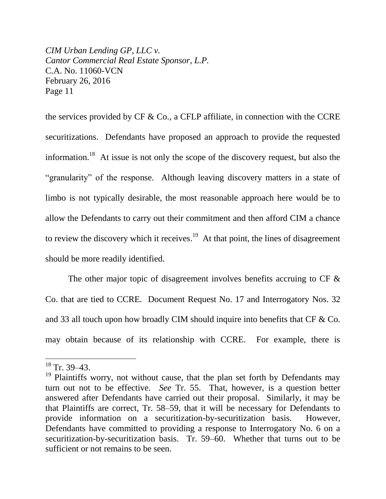the services provided by CF  $\&$  Co., a CFLP affiliate, in connection with the CCRE securitizations. Defendants have proposed an approach to provide the requested information.<sup>18</sup> At issue is not only the scope of the discovery request, but also the "granularity" of the response. Although leaving discovery matters in a state of limbo is not typically desirable, the most reasonable approach here would be to allow the Defendants to carry out their commitment and then afford CIM a chance to review the discovery which it receives.<sup>19</sup> At that point, the lines of disagreement should be more readily identified.

The other major topic of disagreement involves benefits accruing to CF  $\&$ Co. that are tied to CCRE. Document Request No. 17 and Interrogatory Nos. 32 and 33 all touch upon how broadly CIM should inquire into benefits that CF & Co. may obtain because of its relationship with CCRE. For example, there is

 $18$  Tr. 39–43.

 $19$  Plaintiffs worry, not without cause, that the plan set forth by Defendants may turn out not to be effective. *See* Tr. 55. That, however, is a question better answered after Defendants have carried out their proposal. Similarly, it may be that Plaintiffs are correct, Tr. 58–59, that it will be necessary for Defendants to provide information on a securitization-by-securitization basis. However, Defendants have committed to providing a response to Interrogatory No. 6 on a securitization-by-securitization basis. Tr. 59–60. Whether that turns out to be sufficient or not remains to be seen.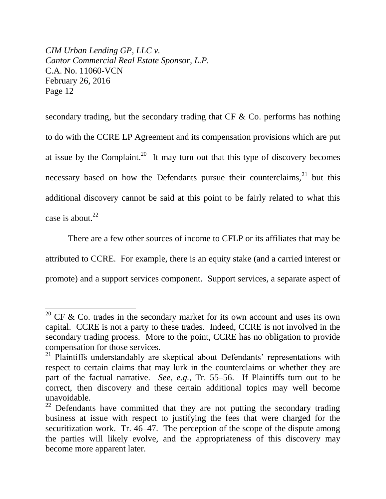$\overline{a}$ 

secondary trading, but the secondary trading that CF & Co. performs has nothing to do with the CCRE LP Agreement and its compensation provisions which are put at issue by the Complaint.<sup>20</sup> It may turn out that this type of discovery becomes necessary based on how the Defendants pursue their counterclaims,  $2^1$  but this additional discovery cannot be said at this point to be fairly related to what this case is about. $22$ 

There are a few other sources of income to CFLP or its affiliates that may be attributed to CCRE. For example, there is an equity stake (and a carried interest or promote) and a support services component. Support services, a separate aspect of

<sup>&</sup>lt;sup>20</sup> CF & Co. trades in the secondary market for its own account and uses its own capital. CCRE is not a party to these trades. Indeed, CCRE is not involved in the secondary trading process. More to the point, CCRE has no obligation to provide compensation for those services.

<sup>&</sup>lt;sup>21</sup> Plaintiffs understandably are skeptical about Defendants' representations with respect to certain claims that may lurk in the counterclaims or whether they are part of the factual narrative. *See, e.g.*, Tr. 55–56. If Plaintiffs turn out to be correct, then discovery and these certain additional topics may well become unavoidable.

 $22$  Defendants have committed that they are not putting the secondary trading business at issue with respect to justifying the fees that were charged for the securitization work. Tr. 46–47. The perception of the scope of the dispute among the parties will likely evolve, and the appropriateness of this discovery may become more apparent later.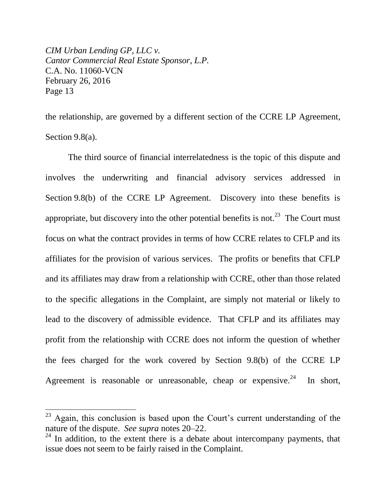$\overline{a}$ 

the relationship, are governed by a different section of the CCRE LP Agreement, Section 9.8(a).

The third source of financial interrelatedness is the topic of this dispute and involves the underwriting and financial advisory services addressed in Section 9.8(b) of the CCRE LP Agreement. Discovery into these benefits is appropriate, but discovery into the other potential benefits is not.<sup>23</sup> The Court must focus on what the contract provides in terms of how CCRE relates to CFLP and its affiliates for the provision of various services. The profits or benefits that CFLP and its affiliates may draw from a relationship with CCRE, other than those related to the specific allegations in the Complaint, are simply not material or likely to lead to the discovery of admissible evidence. That CFLP and its affiliates may profit from the relationship with CCRE does not inform the question of whether the fees charged for the work covered by Section 9.8(b) of the CCRE LP Agreement is reasonable or unreasonable, cheap or expensive. $24$ In short,

 $23$  Again, this conclusion is based upon the Court's current understanding of the nature of the dispute. *See supra* notes 20–22.

 $24$  In addition, to the extent there is a debate about intercompany payments, that issue does not seem to be fairly raised in the Complaint.